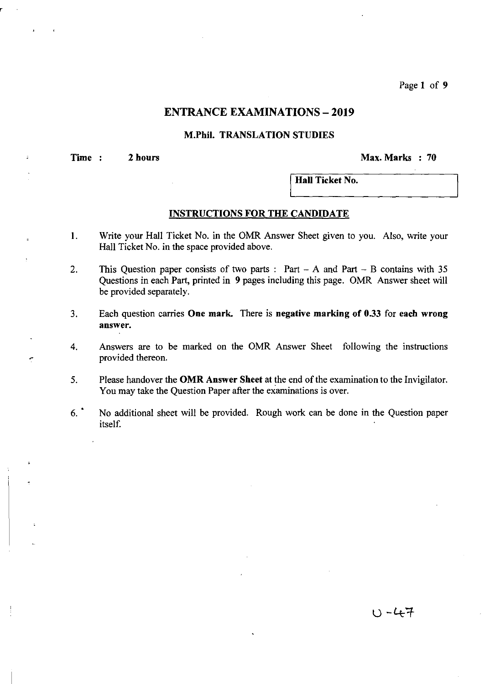Page 1 of 9

## **ENTRANCE EXAMINATIONS - 2019**

## M.Phil. TRANSLATION STUDIES

Time : 2 hours Max. Marks : 70

Hall Ticket No.

### INSTRUCTIONS FOR THE CANDIDATE

- I. Write your Hall Ticket No. in the OMR Answer Sheet given to you. Also, write your Hall Ticket No. in the space provided above.
- 2. This Question paper consists of two parts: Part A and Part B contains with 35 Questions in each Part, printed in 9 pages including this page. OMR Answer sheet will be provided separately.
- 3. Each question carries One mark. There is negative marking of 0.33 for each wrong answer.
- 4. Answers are to be marked on the OMR Answer Sheet following the instructions provided thereon.
- 5. Please handover the OMR Answer Sheet at the end of the examination to the Invigilator. You may take the Question Paper after the examinations is over.
- 6.· No additional sheet will be provided. Rough work can be done in the Question paper itself.

ひ - 47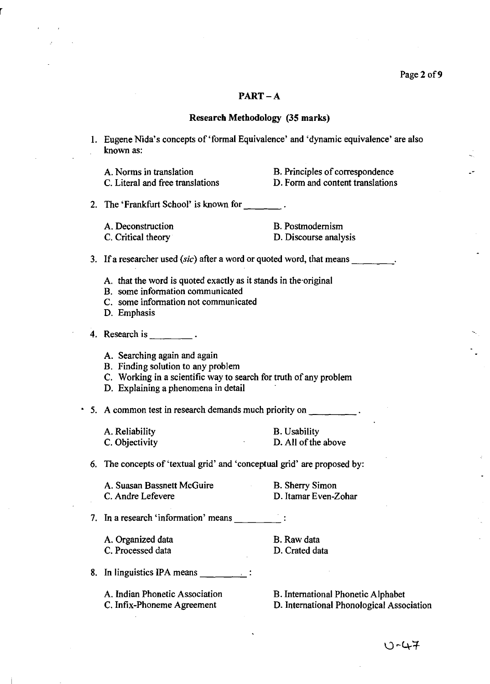### PART-A

#### Research Methodology (35 marks)

I. Eugene Nida's concepts of 'formal Equivalence' and 'dynamic equivalence' are also known as:

A. Norms in translation C. Literal and free translations B. Principles of correspondence D. Form and content translations

2. The 'Frankfurt School' is known for  $\frac{1}{2}$ .

A. Deconstruction C. Critical theory

B. Postmodernism D. Discourse analysis

3. If a researcher used *(sic)* after a word or quoted word, that means \_\_\_\_\_\_\_\_.

- A. that the word is quoted exactly as it stands in the·original
- B. some information communicated
- C. some information not communicated
- D. Emphasis
- 4. Research is  $\frac{1}{2}$ .
	- A. Searching again and again
	- B. Finding solution to any problem
	- C. Working in a scientific way to search for truth of any problem
	- D. Explaining a phenomena in detail

• 5. A common test in research demands much priority on \_\_\_\_

| A. Reliability | <b>B.</b> Usability |
|----------------|---------------------|
| C. Objectivity | D. All of the above |

6. The concepts of 'textual grid' and 'conceptual grid' are proposed by:

| A. Suasan Bassnett McGuire | B. Sherry Simon      |
|----------------------------|----------------------|
| C. Andre Lefevere          | D. Itamar Even-Zohar |

7. In a research 'information' means  $\frac{1}{\sqrt{1-\frac{1}{n}}}\cdot$ 

A. Organized data C. Processed data

B.Rawdata D. Crated data

8. In linguistics IPA means  $\frac{1}{\sqrt{1-\frac{1}{n}}}\cdot\frac{1}{\sqrt{1-\frac{1}{n}}}$ 

A. Indian Phonetic Association C. Infix-Phoneme Agreement

B. International Phonetic Alphabet D. International Phonological Association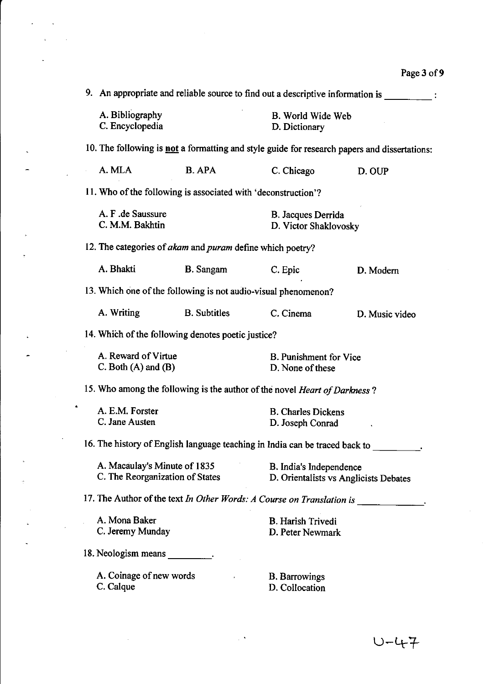$\mathcal{A}^{\mathcal{A}}$ 

 $\hat{\mathcal{L}}$ 

| 9. An appropriate and reliable source to find out a descriptive information is |                     |                                                                                                                                               |                                                                                                                                                                                                                                                                                                                                                                                                                                                                                                                                                                                                                                                                                                                                                                                                                                                                                               |  |
|--------------------------------------------------------------------------------|---------------------|-----------------------------------------------------------------------------------------------------------------------------------------------|-----------------------------------------------------------------------------------------------------------------------------------------------------------------------------------------------------------------------------------------------------------------------------------------------------------------------------------------------------------------------------------------------------------------------------------------------------------------------------------------------------------------------------------------------------------------------------------------------------------------------------------------------------------------------------------------------------------------------------------------------------------------------------------------------------------------------------------------------------------------------------------------------|--|
| A. Bibliography<br>C. Encyclopedia                                             |                     | B. World Wide Web<br>D. Dictionary                                                                                                            |                                                                                                                                                                                                                                                                                                                                                                                                                                                                                                                                                                                                                                                                                                                                                                                                                                                                                               |  |
|                                                                                |                     |                                                                                                                                               |                                                                                                                                                                                                                                                                                                                                                                                                                                                                                                                                                                                                                                                                                                                                                                                                                                                                                               |  |
| A. MLA                                                                         | <b>B.</b> APA       | C. Chicago                                                                                                                                    | D. OUP                                                                                                                                                                                                                                                                                                                                                                                                                                                                                                                                                                                                                                                                                                                                                                                                                                                                                        |  |
|                                                                                |                     |                                                                                                                                               |                                                                                                                                                                                                                                                                                                                                                                                                                                                                                                                                                                                                                                                                                                                                                                                                                                                                                               |  |
| C. M.M. Bakhtin                                                                |                     | B. Jacques Derrida<br>D. Victor Shaklovosky                                                                                                   |                                                                                                                                                                                                                                                                                                                                                                                                                                                                                                                                                                                                                                                                                                                                                                                                                                                                                               |  |
|                                                                                |                     |                                                                                                                                               |                                                                                                                                                                                                                                                                                                                                                                                                                                                                                                                                                                                                                                                                                                                                                                                                                                                                                               |  |
| A. Bhakti                                                                      | <b>B.</b> Sangam    | C. Epic                                                                                                                                       | D. Modern                                                                                                                                                                                                                                                                                                                                                                                                                                                                                                                                                                                                                                                                                                                                                                                                                                                                                     |  |
|                                                                                |                     |                                                                                                                                               |                                                                                                                                                                                                                                                                                                                                                                                                                                                                                                                                                                                                                                                                                                                                                                                                                                                                                               |  |
| A. Writing                                                                     | <b>B.</b> Subtitles | C. Cinema                                                                                                                                     | D. Music video                                                                                                                                                                                                                                                                                                                                                                                                                                                                                                                                                                                                                                                                                                                                                                                                                                                                                |  |
|                                                                                |                     |                                                                                                                                               |                                                                                                                                                                                                                                                                                                                                                                                                                                                                                                                                                                                                                                                                                                                                                                                                                                                                                               |  |
|                                                                                |                     | <b>B.</b> Punishment for Vice<br>D. None of these                                                                                             |                                                                                                                                                                                                                                                                                                                                                                                                                                                                                                                                                                                                                                                                                                                                                                                                                                                                                               |  |
|                                                                                |                     |                                                                                                                                               |                                                                                                                                                                                                                                                                                                                                                                                                                                                                                                                                                                                                                                                                                                                                                                                                                                                                                               |  |
| A. E.M. Forster<br>C. Jane Austen                                              |                     | <b>B. Charles Dickens</b><br>D. Joseph Conrad                                                                                                 |                                                                                                                                                                                                                                                                                                                                                                                                                                                                                                                                                                                                                                                                                                                                                                                                                                                                                               |  |
|                                                                                |                     |                                                                                                                                               |                                                                                                                                                                                                                                                                                                                                                                                                                                                                                                                                                                                                                                                                                                                                                                                                                                                                                               |  |
| A. Macaulay's Minute of 1835<br>C. The Reorganization of States                |                     | B. India's Independence<br>D. Orientalists vs Anglicists Debates                                                                              |                                                                                                                                                                                                                                                                                                                                                                                                                                                                                                                                                                                                                                                                                                                                                                                                                                                                                               |  |
|                                                                                |                     |                                                                                                                                               |                                                                                                                                                                                                                                                                                                                                                                                                                                                                                                                                                                                                                                                                                                                                                                                                                                                                                               |  |
| A. Mona Baker                                                                  |                     | <b>B.</b> Harish Trivedi<br>D. Peter Newmark                                                                                                  |                                                                                                                                                                                                                                                                                                                                                                                                                                                                                                                                                                                                                                                                                                                                                                                                                                                                                               |  |
|                                                                                |                     |                                                                                                                                               |                                                                                                                                                                                                                                                                                                                                                                                                                                                                                                                                                                                                                                                                                                                                                                                                                                                                                               |  |
| C. Calque                                                                      |                     | <b>B.</b> Barrowings<br>D. Collocation                                                                                                        |                                                                                                                                                                                                                                                                                                                                                                                                                                                                                                                                                                                                                                                                                                                                                                                                                                                                                               |  |
|                                                                                |                     | A. F. de Saussure<br>A. Reward of Virtue<br>$C.$ Both $(A)$ and $(B)$<br>C. Jeremy Munday<br>18. Neologism means .<br>A. Coinage of new words | 10. The following is not a formatting and style guide for research papers and dissertations:<br>11. Who of the following is associated with 'deconstruction'?<br>12. The categories of akam and puram define which poetry?<br>13. Which one of the following is not audio-visual phenomenon?<br>14. Which of the following denotes poetic justice?<br>15. Who among the following is the author of the novel Heart of Darkness?<br>16. The history of English language teaching in India can be traced back to _________.<br>17. The Author of the text In Other Words: A Course on Translation is $\frac{1}{\sqrt{1-\frac{1}{n}}}\frac{1}{\sqrt{1-\frac{1}{n}}}\frac{1}{\sqrt{1-\frac{1}{n}}}\frac{1}{\sqrt{1-\frac{1}{n}}}\frac{1}{\sqrt{1-\frac{1}{n}}}\frac{1}{\sqrt{1-\frac{1}{n}}}\frac{1}{\sqrt{1-\frac{1}{n}}}\frac{1}{\sqrt{1-\frac{1}{n}}}\frac{1}{\sqrt{1-\frac{1}{n}}}\frac{1}{\$ |  |

 $\sim$   $\sim$ 

 $\hat{\mathbf{z}}_i$  and  $\hat{\mathbf{z}}_i$ 

 $\tilde{\mathbf{z}}$ 

 $\overline{\phantom{0}}$ 

ä,

 $\overline{a}$ 

 $\mathbf{r}$ 

Ą.

 $\ddot{\phantom{a}}$ 

 $\mathcal{L}^{\text{max}}_{\text{max}}$  , where  $\mathcal{L}^{\text{max}}_{\text{max}}$ 

 $\mathcal{L}(\mathbf{A})$  and  $\mathcal{L}(\mathbf{A})$ 

 $\mathcal{L}^{(1)}$  and  $\mathcal{L}^{(2)}$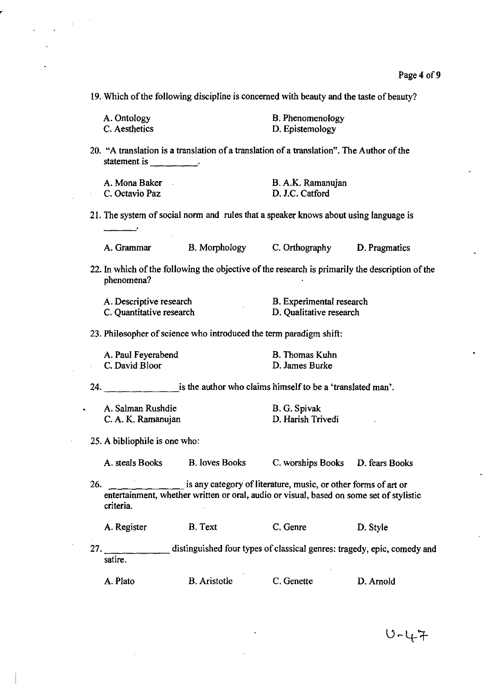19. Which of the following discipline is concerned with beauty and the taste of beauty?

| A. Ontology   | B. Phenomenology |
|---------------|------------------|
| C. Aesthetics | D. Epistemology  |

20. "A translation is a translation of a translation of a translation". The Author of the statement is \_\_\_\_\_\_\_\_\_.

| A. Mona Baker  | B. A.K. Ramanujan |
|----------------|-------------------|
| C. Octavio Paz | D. J.C. Catford   |

21. The system of social norm and rules that a speaker knows about using language is

A.Grammar B. Morphology C. Orthography D. Pragmatics

22. In which of the following the objective of the research is primarily the description of the phenomena?

| A. Descriptive research  | <b>B.</b> Experimental research |
|--------------------------|---------------------------------|
| C. Quantitative research | D. Qualitative research         |

23. Philesopher of science who introduced the term paradigm shift:

| A. Paul Feyerabend | <b>B.</b> Thomas Kuhn |
|--------------------|-----------------------|
| C. David Bloor     | D. James Burke        |

24. **Example 24.** is the author who claims himself to be a 'translated man'.

| A. Salman Rushdie  | B. G. Spivak      |
|--------------------|-------------------|
| C. A. K. Ramanujan | D. Harish Trivedi |

25. A bibliophile is one who:

A. steals Books B. loves Books C. worships Books D. fears Books

26. is any category of literature, music, or other forms of art or entertainment, whether written or oral, audio or visual, based on some set of stylistic criteria.

A. Register B. Text C. Genre D. Style

27. \_\_\_\_\_ distinguished four types of classical genres: tragedy, epic, comedy and satire.

| A. Plato<br><b>B.</b> Aristotle<br>C. Genette | D. Arnold |
|-----------------------------------------------|-----------|
|-----------------------------------------------|-----------|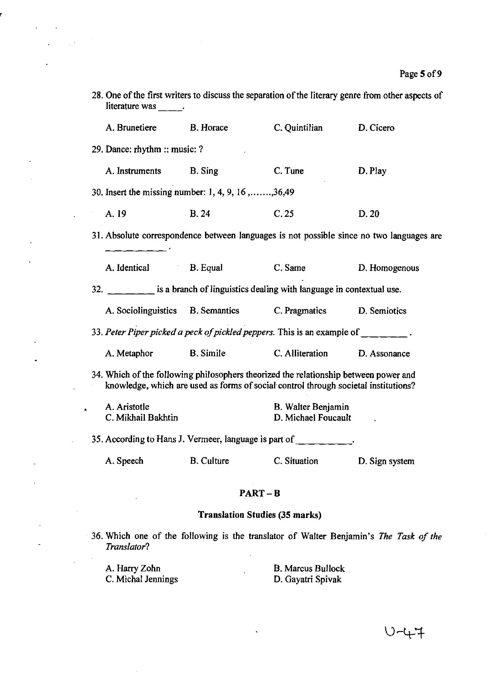| literature was .                                                                                                                                                            |                                                                                                              |                                           | 28. One of the first writers to discuss the separation of the literary genre from other aspects of |  |
|-----------------------------------------------------------------------------------------------------------------------------------------------------------------------------|--------------------------------------------------------------------------------------------------------------|-------------------------------------------|----------------------------------------------------------------------------------------------------|--|
| A. Brunetiere                                                                                                                                                               | <b>B.</b> Horace                                                                                             | C. Quintilian                             | D. Cicero                                                                                          |  |
| 29. Dance: rhythm :: music: ?                                                                                                                                               |                                                                                                              |                                           |                                                                                                    |  |
| A. Instruments B. Sing                                                                                                                                                      |                                                                                                              | C. Tune                                   | D. Play                                                                                            |  |
|                                                                                                                                                                             | 30. Insert the missing number: 1, 4, 9, 16,,36,49                                                            |                                           |                                                                                                    |  |
| A. 19                                                                                                                                                                       | <b>B.24</b>                                                                                                  | C.25                                      | D. 20                                                                                              |  |
|                                                                                                                                                                             |                                                                                                              |                                           | 31. Absolute correspondence between languages is not possible since no two languages are           |  |
| A. Identical                                                                                                                                                                | <b>B.</b> Equal                                                                                              | C. Same                                   | D. Homogenous                                                                                      |  |
|                                                                                                                                                                             | 32. $\frac{1}{100}$ is a branch of linguistics dealing with language in contextual use.                      |                                           |                                                                                                    |  |
|                                                                                                                                                                             | A. Sociolinguistics B. Semantics C. Pragmatics                                                               |                                           | D. Semiotics                                                                                       |  |
|                                                                                                                                                                             | 33. Peter Piper picked a peck of pickled peppers. This is an example of $\frac{1}{\sqrt{1-\frac{1}{n}}-1}$ . |                                           |                                                                                                    |  |
| A. Metaphor                                                                                                                                                                 | <b>B.</b> Simile                                                                                             | C. Alliteration                           | D. Assonance                                                                                       |  |
| 34. Which of the following philosophers theorized the relationship between power and<br>knowledge, which are used as forms of social control through societal institutions? |                                                                                                              |                                           |                                                                                                    |  |
| A. Aristotle<br>C. Mikhail Bakhtin                                                                                                                                          |                                                                                                              | B. Walter Benjamin<br>D. Michael Foucault |                                                                                                    |  |
|                                                                                                                                                                             | 35. According to Hans J. Vermeer, language is part of _________.                                             |                                           |                                                                                                    |  |
| A. Speech                                                                                                                                                                   | <b>B.</b> Culture                                                                                            | C. Situation                              | D. Sign system                                                                                     |  |

## PART-B

# Translation Studies (35 marks)

 $\ddot{\phantom{0}}$ 

36. Which one of the following is the translator of Walter Benjamin's *The Task of the Translator?* 

A. Harry Zohn C. Michal Jennings

J.

 $\overline{a}$ 

 $\frac{1}{2}$  .

B. Marcus Bullock D. Gayatri Spivak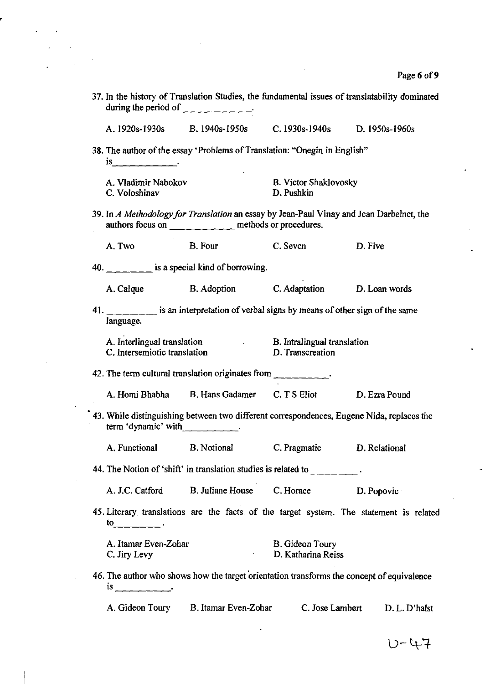| during the period of $\frac{1}{\sqrt{1-\frac{1}{\sqrt{1-\frac{1}{\sqrt{1-\frac{1}{\sqrt{1-\frac{1}{\sqrt{1-\frac{1}{\sqrt{1-\frac{1}{\sqrt{1-\frac{1}{\sqrt{1-\frac{1}{\sqrt{1-\frac{1}{\sqrt{1-\frac{1}{\sqrt{1-\frac{1}{\sqrt{1-\frac{1}{\sqrt{1-\frac{1}{\sqrt{1-\frac{1}{\sqrt{1-\frac{1}{\sqrt{1-\frac{1}{\sqrt{1-\frac{1}{\sqrt{1-\frac{1}{\sqrt{1-\frac{1}{\sqrt{1-\frac{1}{\sqrt{1-\frac{1}{\sqrt{1-\$ | 37. In the history of Translation Studies, the fundamental issues of translatability dominated                                                                                                                                                                                                                                                                                                                                |                                              |         |            |
|----------------------------------------------------------------------------------------------------------------------------------------------------------------------------------------------------------------------------------------------------------------------------------------------------------------------------------------------------------------------------------------------------------------|-------------------------------------------------------------------------------------------------------------------------------------------------------------------------------------------------------------------------------------------------------------------------------------------------------------------------------------------------------------------------------------------------------------------------------|----------------------------------------------|---------|------------|
|                                                                                                                                                                                                                                                                                                                                                                                                                | A. 1920s-1930s B. 1940s-1950s C. 1930s-1940s D. 1950s-1960s                                                                                                                                                                                                                                                                                                                                                                   |                                              |         |            |
|                                                                                                                                                                                                                                                                                                                                                                                                                | 38. The author of the essay 'Problems of Translation: "Onegin in English"                                                                                                                                                                                                                                                                                                                                                     |                                              |         |            |
| A. Vladimir Nabokov<br>C. Voloshinav                                                                                                                                                                                                                                                                                                                                                                           |                                                                                                                                                                                                                                                                                                                                                                                                                               | <b>B. Victor Shaklovosky</b><br>D. Pushkin   |         |            |
|                                                                                                                                                                                                                                                                                                                                                                                                                | 39. In A Methodology for Translation an essay by Jean-Paul Vinay and Jean Darbelnet, the<br>authors focus on _____________ methods or procedures.                                                                                                                                                                                                                                                                             |                                              |         |            |
| A. Two                                                                                                                                                                                                                                                                                                                                                                                                         | <b>B.</b> Four                                                                                                                                                                                                                                                                                                                                                                                                                | C. Seven                                     | D. Five |            |
|                                                                                                                                                                                                                                                                                                                                                                                                                | 40. $\frac{1}{\sqrt{1-\frac{1}{\sqrt{1-\frac{1}{\sqrt{1-\frac{1}{\sqrt{1-\frac{1}{\sqrt{1-\frac{1}{\sqrt{1-\frac{1}{\sqrt{1-\frac{1}{\sqrt{1-\frac{1}{\sqrt{1-\frac{1}{\sqrt{1-\frac{1}{\sqrt{1-\frac{1}{\sqrt{1-\frac{1}{\sqrt{1-\frac{1}{\sqrt{1-\frac{1}{\sqrt{1-\frac{1}{\sqrt{1-\frac{1}{\sqrt{1-\frac{1}{\sqrt{1-\frac{1}{\sqrt{1-\frac{1}{\sqrt{1-\frac{1}{\sqrt{1-\frac{1}{\sqrt{1-\frac{1}{\sqrt{1-\frac{1}{\sqrt{1$ |                                              |         |            |
|                                                                                                                                                                                                                                                                                                                                                                                                                | A. Calque B. Adoption C. Adaptation D. Loan words                                                                                                                                                                                                                                                                                                                                                                             |                                              |         |            |
| language.                                                                                                                                                                                                                                                                                                                                                                                                      | 41. is an interpretation of verbal signs by means of other sign of the same                                                                                                                                                                                                                                                                                                                                                   |                                              |         |            |
| C. Intersemiotic translation                                                                                                                                                                                                                                                                                                                                                                                   | A. Interlingual translation B. Intralingual translation                                                                                                                                                                                                                                                                                                                                                                       | D. Transcreation                             |         |            |
|                                                                                                                                                                                                                                                                                                                                                                                                                | 42. The term cultural translation originates from __________.                                                                                                                                                                                                                                                                                                                                                                 |                                              |         |            |
|                                                                                                                                                                                                                                                                                                                                                                                                                | A. Homi Bhabha B. Hans Gadamer C. T S Eliot D. Ezra Pound                                                                                                                                                                                                                                                                                                                                                                     |                                              |         |            |
| term 'dynamic' with $\qquad \qquad$                                                                                                                                                                                                                                                                                                                                                                            | 43. While distinguishing between two different correspondences, Eugene Nida, replaces the                                                                                                                                                                                                                                                                                                                                     |                                              |         |            |
|                                                                                                                                                                                                                                                                                                                                                                                                                | A. Functional B. Notional C. Pragmatic D. Relational                                                                                                                                                                                                                                                                                                                                                                          |                                              |         |            |
|                                                                                                                                                                                                                                                                                                                                                                                                                | 44. The Notion of 'shift' in translation studies is related to _________.                                                                                                                                                                                                                                                                                                                                                     |                                              |         |            |
|                                                                                                                                                                                                                                                                                                                                                                                                                | A. J.C. Catford B. Juliane House C. Horace                                                                                                                                                                                                                                                                                                                                                                                    |                                              |         | D. Popovic |
| $\mathfrak{to}$ .                                                                                                                                                                                                                                                                                                                                                                                              | 45. Literary translations are the facts of the target system. The statement is related                                                                                                                                                                                                                                                                                                                                        |                                              |         |            |
| A. Itamar Even-Zohar<br>C. Jiry Levy                                                                                                                                                                                                                                                                                                                                                                           | $\mathcal{L}(\mathcal{L}^{\mathcal{L}})$ and $\mathcal{L}(\mathcal{L}^{\mathcal{L}})$ and                                                                                                                                                                                                                                                                                                                                     | <b>B.</b> Gideon Toury<br>D. Katharina Reiss |         |            |
| $\frac{1}{s}$                                                                                                                                                                                                                                                                                                                                                                                                  | 46. The author who shows how the target orientation transforms the concept of equivalence                                                                                                                                                                                                                                                                                                                                     |                                              |         |            |
|                                                                                                                                                                                                                                                                                                                                                                                                                | A. Gideon Toury B. Itamar Even-Zohar C. Jose Lambert D. L. D'halst                                                                                                                                                                                                                                                                                                                                                            |                                              |         |            |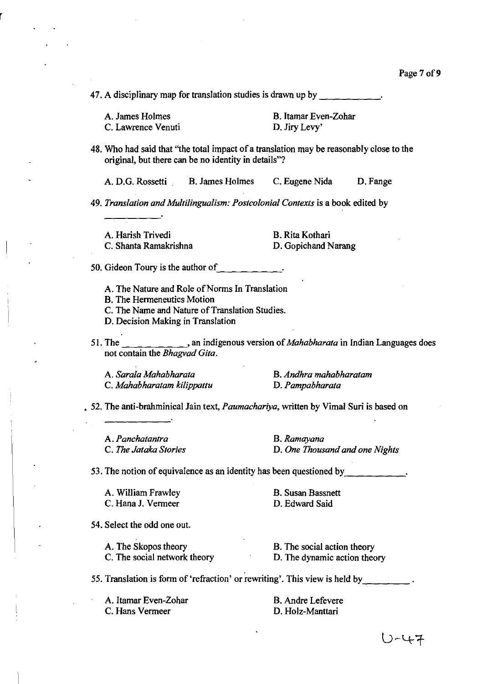47. A disciplinary map for translation studies is drawn up by

A. James Holmes C. Lawrence Venuti B. Itamar Even-Zohar D. Jiry Levy'

48. Who had said that "the total impact of a translation may be reasonably close to the original, but there can be no identity in details"?

A. D.G. Rossetti B. James Holmes C. Eugene Nida D. Fange

*49. Translation and Multilingualism: Postcolonial Contexts* is a book edited by

A. Harish Trivedi B. Rita Kothari

C. Shanta Ramakrishna D. Gopichand Narang

50. Gideon Toury is the author of  $\Box$   $\Box$   $\Box$   $\Box$   $\Box$   $\Box$ 

A. The Nature and Role of Norms In Translation

B. The Hermeneutics Motion

C. The Name and Nature of Translation Studies.

D. Decision Making in Translation

51. The , an indigenous version of *Mahabharata* in Indian Languages does not contain the *Bhagvad Gita.* 

A. *Sarala Mahabharata*  C. *Mahabharatam kilippattu* 

B. *Andhra mahabharatam*  D. *Pampabharata* 

• 52. The anti-brahminical Jain text, *Paumachariya,* written by Vimal Suri is based on

A. *Panchatantra B.Ramayana* 

C. *The Jataka Stories* D. *One Thousand and one Nights* 

53. The notion of equivalence as an identity has been questioned by  $\cdot$ .

A. William Frawley C.HanaJ. Vermeer

B. Susan Bassnett D. Edward Said

54. Select the odd one out.

A. The Skopos theory C. The social network theory

B. The social action theory D. The dynamic action theory

55. Translation is form of 'refraction' or rewriting'. This view is held by  $\blacksquare$ .

A. Itamar Even-Zohar C. Hans Vermeer

B. Andre Lefevere D. Holz-Manttari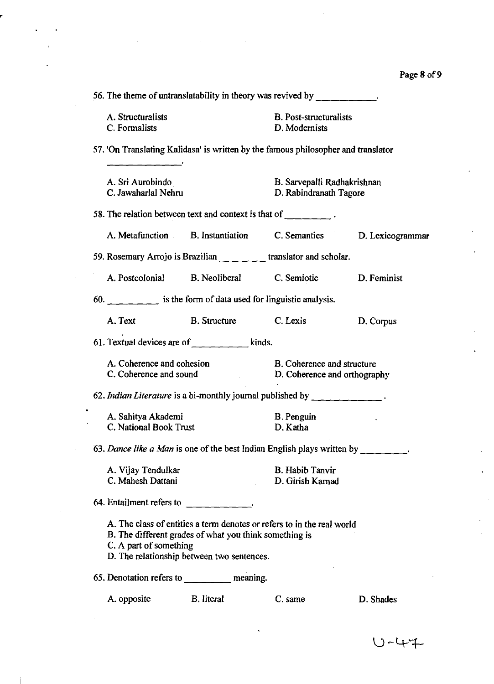ç.

| 56. The theme of untranslatability in theory was revived by $\frac{1}{\sqrt{2}}$                 |                                                                                                                                                                                |                                                       |                  |
|--------------------------------------------------------------------------------------------------|--------------------------------------------------------------------------------------------------------------------------------------------------------------------------------|-------------------------------------------------------|------------------|
| A. Structuralists<br>C. Formalists                                                               |                                                                                                                                                                                | <b>B.</b> Post-structuralists<br>D. Modernists        |                  |
| 57. 'On Translating Kalidasa' is written by the famous philosopher and translator<br>___________ |                                                                                                                                                                                |                                                       |                  |
| A. Sri Aurobindo<br>C. Jawaharlal Nehru                                                          |                                                                                                                                                                                | B. Sarvepalli Radhakrishnan<br>D. Rabindranath Tagore |                  |
| 58. The relation between text and context is that of $\Box$                                      |                                                                                                                                                                                |                                                       |                  |
|                                                                                                  | A. Metafunction B. Instantiation C. Semantics                                                                                                                                  |                                                       | D. Lexicogrammar |
| 59. Rosemary Arrojo is Brazilian ___________ translator and scholar.                             |                                                                                                                                                                                |                                                       |                  |
|                                                                                                  | A. Postcolonial B. Neoliberal C. Semiotic D. Feminist                                                                                                                          |                                                       |                  |
| 60. $\Box$ is the form of data used for linguistic analysis.                                     |                                                                                                                                                                                |                                                       |                  |
| A. Text                                                                                          | B. Structure C. Lexis                                                                                                                                                          |                                                       | D. Corpus        |
| 61. Textual devices are of $\frac{1}{2}$ $\frac{1}{2}$ $\frac{1}{2}$ kinds.                      |                                                                                                                                                                                |                                                       |                  |
| A. Coherence and cohesion<br>C. Coherence and sound D. Coherence and orthography                 |                                                                                                                                                                                | <b>B.</b> Coherence and structure                     |                  |
| 62. Indian Literature is a bi-monthly journal published by ___________.                          |                                                                                                                                                                                |                                                       |                  |
| A. Sahitya Akademi<br>C. National Book Trust                                                     |                                                                                                                                                                                | <b>B.</b> Penguin<br>D. Katha                         |                  |
| 63. Dance like a Man is one of the best Indian English plays written by                          |                                                                                                                                                                                |                                                       |                  |
| A. Vijay Tendulkar<br>C. Mahesh Dattani                                                          |                                                                                                                                                                                | <b>B.</b> Habib Tanvir<br>D. Girish Karnad            |                  |
| 64. Entailment refers to _____________.                                                          |                                                                                                                                                                                |                                                       |                  |
| C. A part of something                                                                           | A. The class of entities a term denotes or refers to in the real world<br>B. The different grades of what you think something is<br>D. The relationship between two sentences. |                                                       |                  |
| 65. Denotation refers to ___________ meaning.                                                    |                                                                                                                                                                                |                                                       |                  |
| A. opposite                                                                                      | B. literal                                                                                                                                                                     | C. same                                               | D. Shades        |

 $U - 47$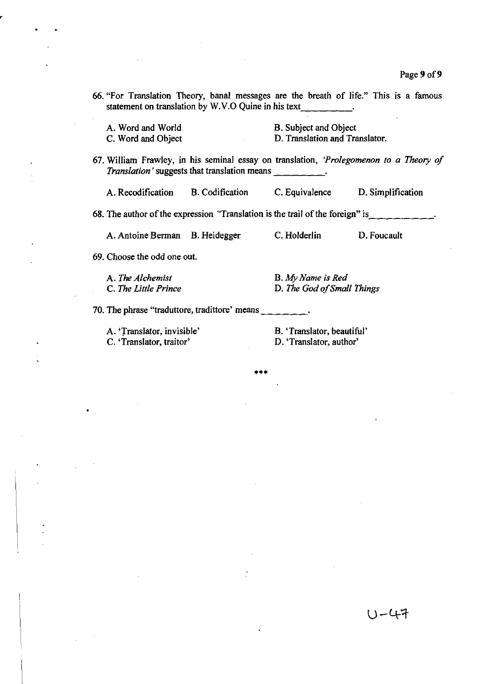66. "For Translation Theory, banal messages are the breath of life." This is a famous statement on translation by W.V.O Quine in his text

A. Word and World C. Word and Object B. Subject and Object D. Translation and Translator.

67. William Frawley, in his seminal essay on translation, *'Prolegomenon to a Theory 0/ Translation'* suggests that translation means \_\_\_\_\_\_\_\_.

A. Recodification B. Codification C. Equivalence D. Simplification

68. The author of the expression "Translation is the trail of the foreign" is  $\Box$ 

A. Antoine Berman B. Heidegger ' C. Holderlin D. Foucault

69. Choose the odd one out.

A. The *Alchemist*  C. *The Little Prince* 

B. A{y *Name is Red*  D. *The God o/Small Things* 

70. The phrase "traduttore, tradittore' means \_\_\_ \_

A. 'Translator, invisible'

C. 'Translator, traitor'

B. 'Translator, beautiful' D. 'Translator, author'

**\*\*\***